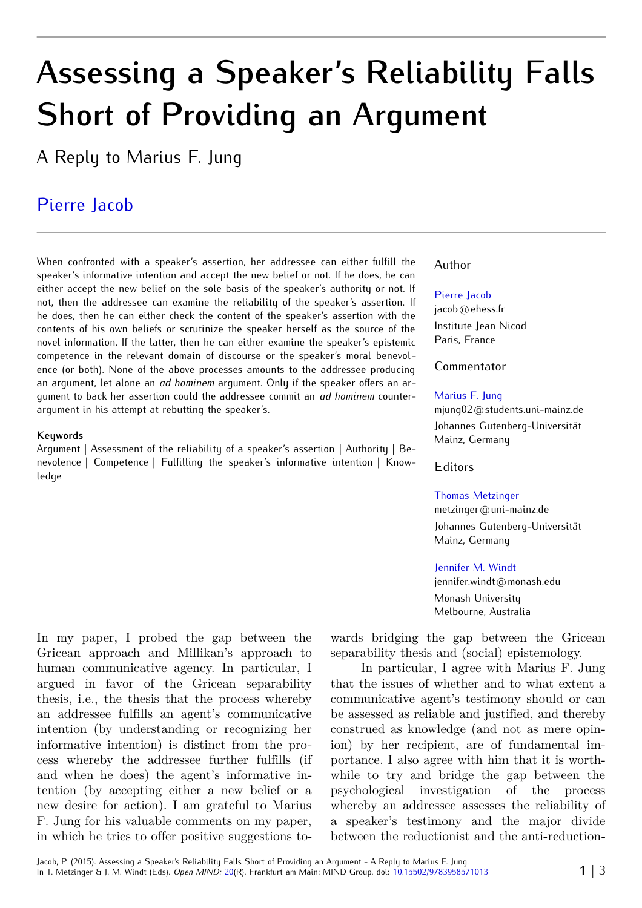# **Assessing a Speaker's Reliability Falls Short of Providing an Argument**

A Reply to Marius F. Jung

# [Pierre Jacob](http://www.open-mind.net/showAuthor?author=Pierre_Jacob)

When confronted with a speaker's assertion, her addressee can either fulfill the speaker's informative intention and accept the new belief or not. If he does, he can either accept the new belief on the sole basis of the speaker's authority or not. If not, then the addressee can examine the reliability of the speaker's assertion. If he does, then he can either check the content of the speaker's assertion with the contents of his own beliefs or scrutinize the speaker herself as the source of the novel information. If the latter, then he can either examine the speaker's epistemic competence in the relevant domain of discourse or the speaker's moral benevolence (or both). None of the above processes amounts to the addressee producing an argument, let alone an *ad hominem* argument. Only if the speaker offers an argument to back her assertion could the addressee commit an *ad hominem* counterargument in his attempt at rebutting the speaker's.

#### **Keywords**

Argument | Assessment of the reliability of a speaker's assertion | Authority | Benevolence | Competence | Fulfilling the speaker's informative intention | Knowledge

Author

#### [Pierre Jacob](http://www.open-mind.net/showAuthor?author=Pierre_Jacob)

jacob@ehess.fr     Institute Jean Nicod Paris, France

Commentator

#### [Marius F. Jung](http://www.open-mind.net/showAuthor?author=MariusF_Jung)

mjung02@students.uni-mainz.de     Johannes Gutenberg-Universität Mainz, Germany

#### **Editors**

#### [Thomas Metzinger](http://www.open-mind.net/showAuthor?author=Thomas_Metzinger)

metzinger@uni-mainz.de     Johannes Gutenberg-Universität Mainz, Germany

[Jennifer M. Windt](http://www.open-mind.net/showAuthor?author=JenniferM_Windt) jennifer.windt@monash.edu     Monash University Melbourne, Australia

In my paper, I probed the gap between the Gricean approach and Millikan's approach to human communicative agency. In particular, I argued in favor of the Gricean separability thesis, i.e., the thesis that the process whereby an addressee fulfills an agent's communicative intention (by understanding or recognizing her informative intention) is distinct from the process whereby the addressee further fulfills (if and when he does) the agent's informative intention (by accepting either a new belief or a new desire for action). I am grateful to Marius F. Jung for his valuable comments on my paper, in which he tries to offer positive suggestions towards bridging the gap between the Gricean separability thesis and (social) epistemology.

In particular, I agree with Marius F. Jung that the issues of whether and to what extent a communicative agent's testimony should or can be assessed as reliable and justified, and thereby construed as knowledge (and not as mere opinion) by her recipient, are of fundamental importance. I also agree with him that it is worthwhile to try and bridge the gap between the psychological investigation of the process whereby an addressee assesses the reliability of a speaker's testimony and the major divide between the reductionist and the anti-reduction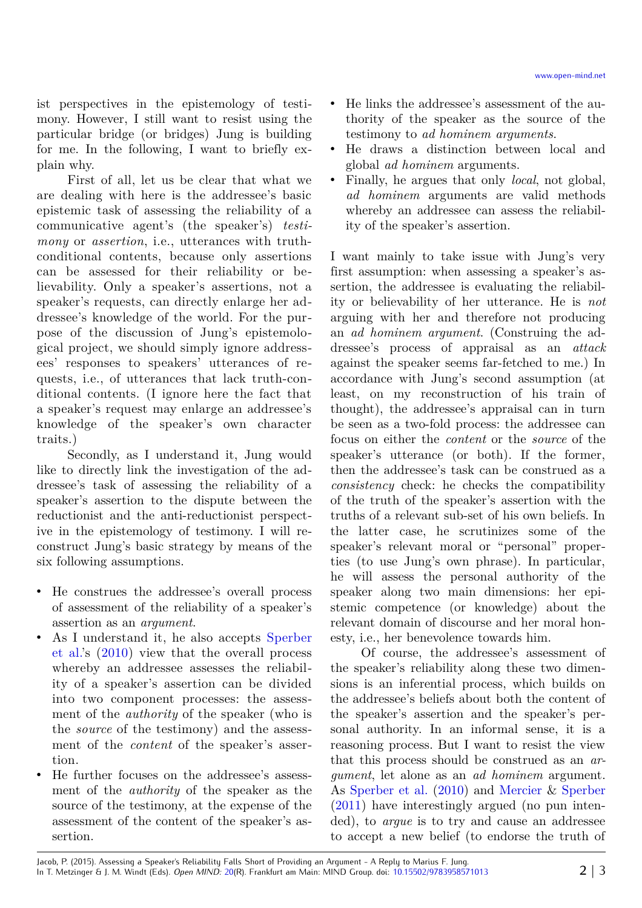ist perspectives in the epistemology of testimony. However, I still want to resist using the particular bridge (or bridges) Jung is building for me. In the following, I want to briefly explain why.

First of all, let us be clear that what we are dealing with here is the addressee's basic epistemic task of assessing the reliability of a communicative agent's (the speaker's) *testimony* or *assertion*, i.e., utterances with truthconditional contents, because only assertions can be assessed for their reliability or believability. Only a speaker's assertions, not a speaker's requests, can directly enlarge her addressee's knowledge of the world. For the purpose of the discussion of Jung's epistemological project, we should simply ignore addressees' responses to speakers' utterances of requests, i.e., of utterances that lack truth-conditional contents. (I ignore here the fact that a speaker's request may enlarge an addressee's knowledge of the speaker's own character traits.)

Secondly, as I understand it, Jung would like to directly link the investigation of the addressee's task of assessing the reliability of a speaker's assertion to the dispute between the reductionist and the anti-reductionist perspective in the epistemology of testimony. I will reconstruct Jung's basic strategy by means of the six following assumptions.

- He construes the addressee's overall process of assessment of the reliability of a speaker's assertion as an *argument*.
- As I understand it, he also accepts [Sperber](#page-2-1) [et al.'](#page-2-1)s [\(2010\)](#page-2-1) view that the overall process whereby an addressee assesses the reliability of a speaker's assertion can be divided into two component processes: the assessment of the *authority* of the speaker (who is the *source* of the testimony) and the assessment of the *content* of the speaker's assertion.
- He further focuses on the addressee's assessment of the *authority* of the speaker as the source of the testimony, at the expense of the assessment of the content of the speaker's assertion.
- He links the addressee's assessment of the authority of the speaker as the source of the testimony to *ad hominem arguments*.
- He draws a distinction between local and global *ad hominem* arguments.
- Finally, he argues that only *local*, not global, *ad hominem* arguments are valid methods whereby an addressee can assess the reliability of the speaker's assertion.

I want mainly to take issue with Jung's very first assumption: when assessing a speaker's assertion, the addressee is evaluating the reliability or believability of her utterance. He is *not* arguing with her and therefore not producing an *ad hominem argument*. (Construing the addressee's process of appraisal as an *attack* against the speaker seems far-fetched to me.) In accordance with Jung's second assumption (at least, on my reconstruction of his train of thought), the addressee's appraisal can in turn be seen as a two-fold process: the addressee can focus on either the *content* or the *source* of the speaker's utterance (or both). If the former, then the addressee's task can be construed as a *consistency* check: he checks the compatibility of the truth of the speaker's assertion with the truths of a relevant sub-set of his own beliefs. In the latter case, he scrutinizes some of the speaker's relevant moral or "personal" properties (to use Jung's own phrase). In particular, he will assess the personal authority of the speaker along two main dimensions: her epistemic competence (or knowledge) about the relevant domain of discourse and her moral honesty, i.e., her benevolence towards him.

Of course, the addressee's assessment of the speaker's reliability along these two dimensions is an inferential process, which builds on the addressee's beliefs about both the content of the speaker's assertion and the speaker's personal authority. In an informal sense, it is a reasoning process. But I want to resist the view that this process should be construed as an *argument*, let alone as an *ad hominem* argument. As [Sperber](#page-2-1) [et al. \(2010\)](#page-2-1) and [Mercier](#page-2-0) & [Sperber](#page-2-0) [\(2011\)](#page-2-0) have interestingly argued (no pun intended), to *argue* is to try and cause an addressee to accept a new belief (to endorse the truth of